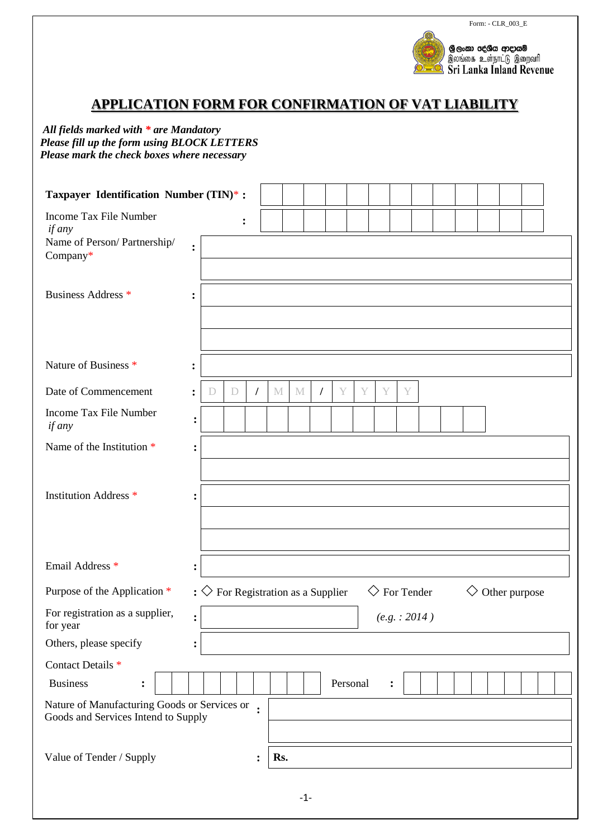



# **APPLICATION FORM FOR CONFIRMATION OF VAT LIABILITY**

*All fields marked with \* are Mandatory Please fill up the form using BLOCK LETTERS Please mark the check boxes where necessary*

| Taxpayer Identification Number (TIN)*:                                              |                |                                                 |             |                |     |       |          |          |   |                           |               |  |                |  |               |  |
|-------------------------------------------------------------------------------------|----------------|-------------------------------------------------|-------------|----------------|-----|-------|----------|----------|---|---------------------------|---------------|--|----------------|--|---------------|--|
| Income Tax File Number<br>if any                                                    |                |                                                 | :           |                |     |       |          |          |   |                           |               |  |                |  |               |  |
| Name of Person/Partnership/<br>Company*                                             | $\ddot{\cdot}$ |                                                 |             |                |     |       |          |          |   |                           |               |  |                |  |               |  |
| Business Address *                                                                  | $\ddot{\cdot}$ |                                                 |             |                |     |       |          |          |   |                           |               |  |                |  |               |  |
| Nature of Business <sup>*</sup>                                                     | $\ddot{\cdot}$ |                                                 |             |                |     |       |          |          |   |                           |               |  |                |  |               |  |
| Date of Commencement                                                                | $\ddot{\cdot}$ | D                                               | $\mathbb D$ | $\prime$       | M   | M     | $\prime$ | Y        | Y | Y                         | Y             |  |                |  |               |  |
| Income Tax File Number<br>if any                                                    | $\ddot{\cdot}$ |                                                 |             |                |     |       |          |          |   |                           |               |  |                |  |               |  |
| Name of the Institution *                                                           |                |                                                 |             |                |     |       |          |          |   |                           |               |  |                |  |               |  |
|                                                                                     |                |                                                 |             |                |     |       |          |          |   |                           |               |  |                |  |               |  |
| <b>Institution Address *</b>                                                        |                |                                                 |             |                |     |       |          |          |   |                           |               |  |                |  |               |  |
|                                                                                     |                |                                                 |             |                |     |       |          |          |   |                           |               |  |                |  |               |  |
| Email Address *                                                                     | $\ddot{\cdot}$ |                                                 |             |                |     |       |          |          |   |                           |               |  |                |  |               |  |
| Purpose of the Application *                                                        |                | : $\diamondsuit$ For Registration as a Supplier |             |                |     |       |          |          |   | $\diamondsuit$ For Tender |               |  | $\diamondsuit$ |  | Other purpose |  |
| For registration as a supplier,<br>for year                                         | $\ddot{\cdot}$ |                                                 |             |                |     |       |          |          |   |                           | (e.g. : 2014) |  |                |  |               |  |
| Others, please specify                                                              |                |                                                 |             |                |     |       |          |          |   |                           |               |  |                |  |               |  |
| Contact Details <sup>*</sup>                                                        |                |                                                 |             |                |     |       |          |          |   |                           |               |  |                |  |               |  |
| <b>Business</b><br>$\ddot{\cdot}$                                                   |                |                                                 |             |                |     |       |          | Personal |   |                           | :             |  |                |  |               |  |
| Nature of Manufacturing Goods or Services or<br>Goods and Services Intend to Supply |                |                                                 |             |                |     |       |          |          |   |                           |               |  |                |  |               |  |
| Value of Tender / Supply                                                            |                |                                                 |             | $\ddot{\cdot}$ | Rs. |       |          |          |   |                           |               |  |                |  |               |  |
|                                                                                     |                |                                                 |             |                |     | $-1-$ |          |          |   |                           |               |  |                |  |               |  |